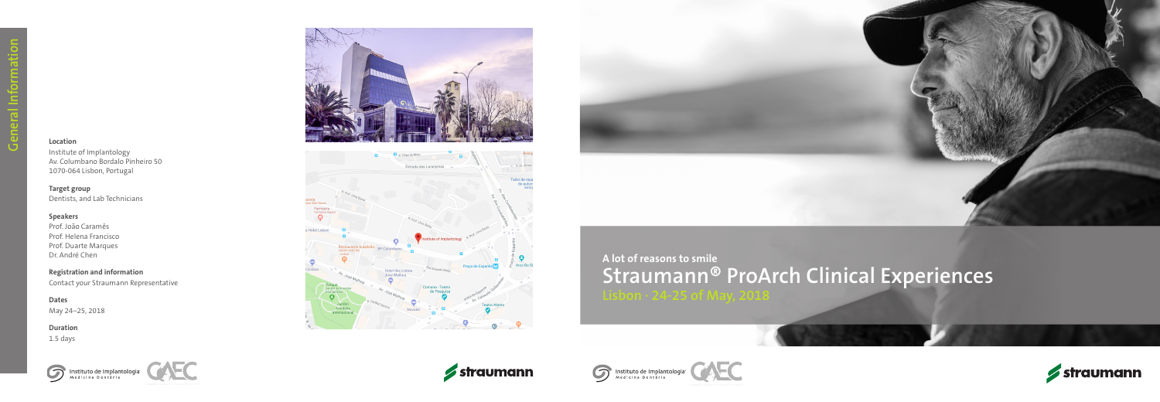#### **Location**

Institute of Implantology Av. Columbano Bordalo Pinheiro 50 1070-064 Lisbon, Portugal

#### **Target group**

Dentists, and Lab Technicians

#### **Speakers**

Prof. João Caramês Prof. Helena Francisco Prof. Duarte Marques Dr. André Chen

# **Registration and information**

Contact your Straumann Representative

**Dates** May 24–25, 2018

#### **Duration**

1.5 days



















# **Straumann® ProArch Clinical Experiences**